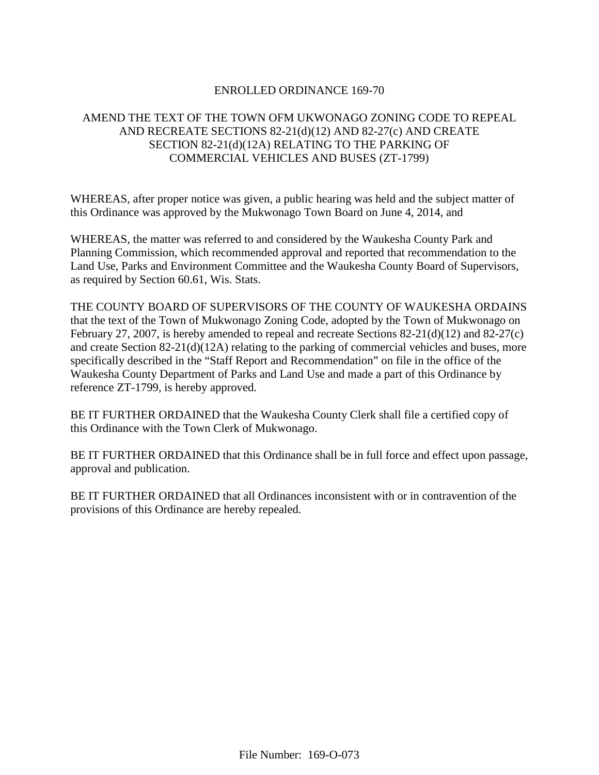# ENROLLED ORDINANCE 169-70

# AMEND THE TEXT OF THE TOWN OFM UKWONAGO ZONING CODE TO REPEAL AND RECREATE SECTIONS 82-21(d)(12) AND 82-27(c) AND CREATE SECTION 82-21(d)(12A) RELATING TO THE PARKING OF COMMERCIAL VEHICLES AND BUSES (ZT-1799)

WHEREAS, after proper notice was given, a public hearing was held and the subject matter of this Ordinance was approved by the Mukwonago Town Board on June 4, 2014, and

WHEREAS, the matter was referred to and considered by the Waukesha County Park and Planning Commission, which recommended approval and reported that recommendation to the Land Use, Parks and Environment Committee and the Waukesha County Board of Supervisors, as required by Section 60.61, Wis. Stats.

THE COUNTY BOARD OF SUPERVISORS OF THE COUNTY OF WAUKESHA ORDAINS that the text of the Town of Mukwonago Zoning Code, adopted by the Town of Mukwonago on February 27, 2007, is hereby amended to repeal and recreate Sections 82-21(d)(12) and 82-27(c) and create Section 82-21(d)(12A) relating to the parking of commercial vehicles and buses, more specifically described in the "Staff Report and Recommendation" on file in the office of the Waukesha County Department of Parks and Land Use and made a part of this Ordinance by reference ZT-1799, is hereby approved.

BE IT FURTHER ORDAINED that the Waukesha County Clerk shall file a certified copy of this Ordinance with the Town Clerk of Mukwonago.

BE IT FURTHER ORDAINED that this Ordinance shall be in full force and effect upon passage, approval and publication.

BE IT FURTHER ORDAINED that all Ordinances inconsistent with or in contravention of the provisions of this Ordinance are hereby repealed.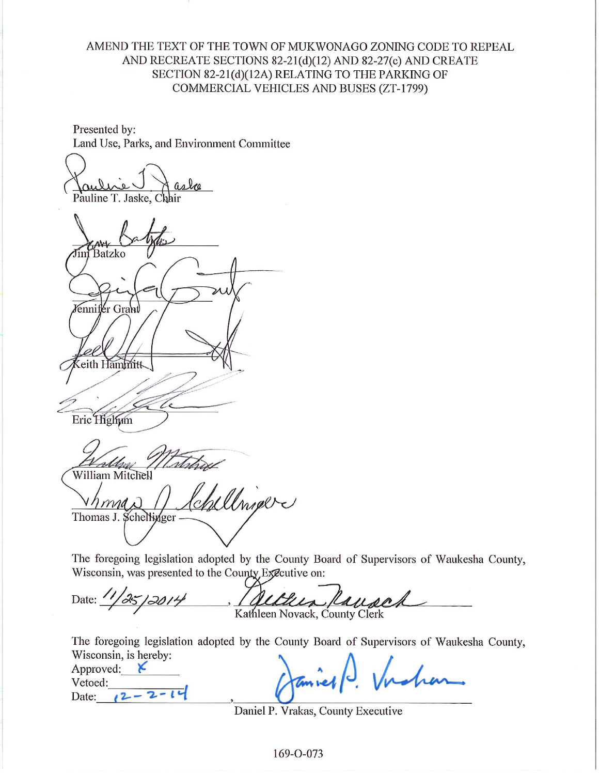# AMEND THE TEXT OF THE TOWN OF MUKWONAGO ZONING CODE TO REPEAL AND RECREATE SECTIONS 82-21(d)(12) AND 82-27(c) AND CREATE SECTION 82-21(d)(12A) RELATING TO THE PARKING OF COMMERCIAL VEHICLES AND BUSES (ZT-1799)

Presented by: Land Use, Parks, and Environment Committee

Pauline T. Jaske.

Batzko énnifér Grant eith Hammitt Eric Highum unhay 4 day

William Mitchell

Alrier Thomas J. Schelligger -

The foregoing legislation adopted by the County Board of Supervisors of Waukesha County, Wisconsin, was presented to the County Executive on:

Date: 1/25/2014 Kausch Kathleen Novack, County Clerk

The foregoing legislation adopted by the County Board of Supervisors of Waukesha County, Wisconsin, is hereby:

| Approved: |  |
|-----------|--|
| Vetoed:   |  |
| Date:     |  |

Daniel P. Vrakas, County Executive

169-0-073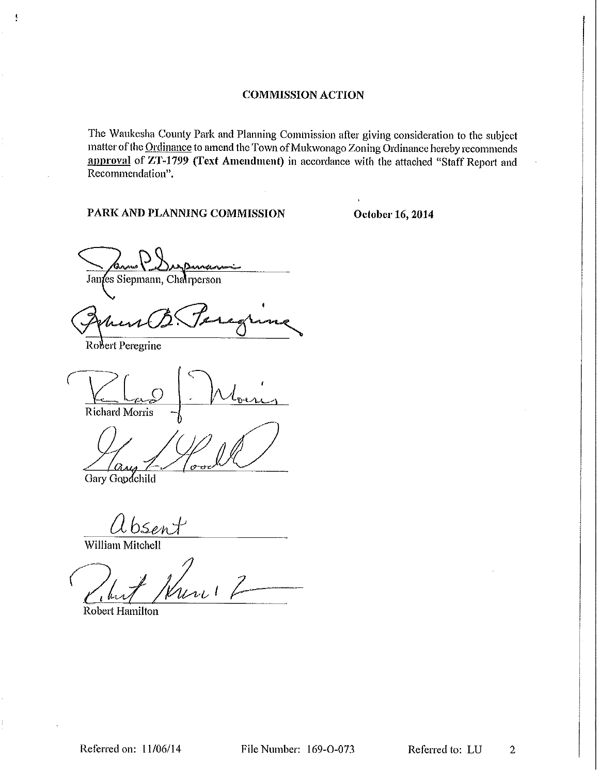The Waukesha County Park and Planning Commission after giving consideration to the subject matter of the Ordinance to amend the Town of Mukwonago Zoning Ordinance hereby recommends approval of ZT-1799 (Text Amendment) in accordance with the attached "Staff Report and Recommendation".

PARK AND PLANNING COMMISSION

October 16, 2014

Janfes Siepmann, Chairperson

Robert Peregrine

ł

**Richard Morris** 

 $\alpha$ us Gary Goodchild

absent

William Mitchell

uni !

**Robert Hamilton**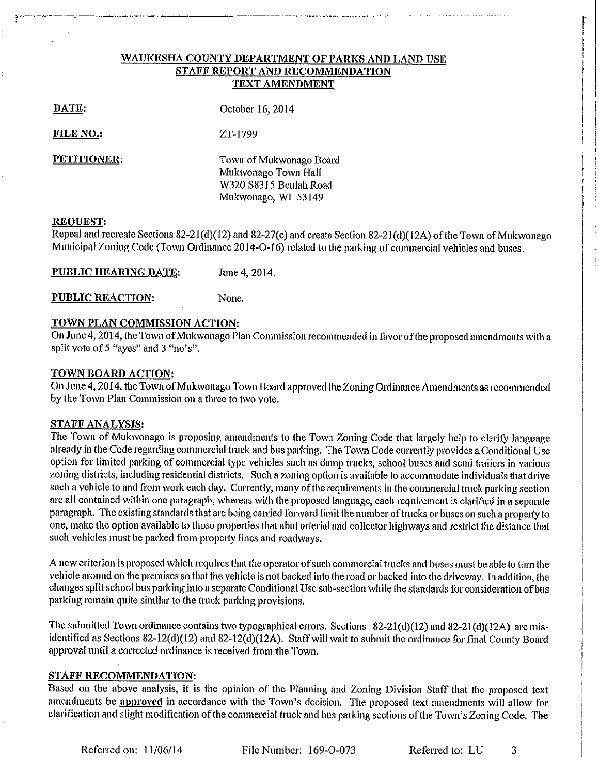#### WAUKESHA COUNTY DEPARTMENT OF PARKS AND LAND USE **STAFF REPORT AND RECOMMENDATION TEXT AMENDMENT**

October 16, 2014

FILE NO:

ZT-1799

PETITIONER:

Town of Mukwonago Board Mukwonago Town Hall W320 S8315 Beulah Road Mukwonago, WJ 53149

#### **REOUEST:**

Repeal and recreate Sections 82-21(d)(12) and 82-27(c) and create Section 82-21(d)(12A) of the Town of Mukwonago Municipal Zoning Code (Town Ordinance 2014-O-16) related to the parking of commercial vehicles and buses.

PUBLIC HEARING DATE: June 4, 2014.

**PUBLIC REACTION:** None.

### TOWN PLAN COMMISSION ACTION:

On June 4, 2014, the Town of Mukwonago Plan Commission recommended in favor of the proposed amendments with a split vote of 5 "ayes" and 3 "no's".

#### TOWN BOARD ACTION:

On June 4, 2014, the Town of Mukwonago Town Board approved the Zoning Ordinance Amendments as recommended by the Town Plan Commission on a three to two vote.

#### **STAFF ANALYSIS:**

The Town of Mukwonago is proposing amendments to the Town Zoning Code that largely help to clarify language already in the Code regarding commercial truck and bus parking. The Town Code currently provides a Conditional Use option for limited parking of commercial type vehicles such as dump trucks, school buses and semi trailers in various zoning districts, including residential districts. Such a zoning option is available to accommodate individuals that drive such a vehicle to and from work each day. Currently, many of the requirements in the commercial truck parking section are all contained within one paragraph, whereas with the proposed language, each requirement is clarified in a separate paragraph. The existing standards that are being carried forward limit the number of trucks or buses on such a property to one, make the option available to those properties that abut arterial and collector highways and restrict the distance that such vehicles must be parked from property lines and roadways.

A new criterion is proposed which requires that the operator of such commercial trucks and buses must be able to turn the vehicle around on the premises so that the vehicle is not backed into the road or backed into the driveway. In addition, the changes split school bus parking into a separate Conditional Use sub-section while the standards for consideration of bus parking remain quite similar to the truck parking provisions.

The submitted Town ordinance contains two typographical errors. Sections 82-21(d)(12) and 82-21(d)(12A) are misidentified as Sections 82-12(d)(12) and 82-12(d)(12A). Staff will wait to submit the ordinance for final County Board approval until a corrected ordinance is received from the Town.

#### **STAFF RECOMMENDATION:**

Based on the above analysis, it is the opinion of the Planning and Zoning Division Staff that the proposed text amendments be approved in accordance with the Town's decision. The proposed text amendments will allow for clarification and slight modification of the commercial truck and bus parking sections of the Town's Zoning Code. The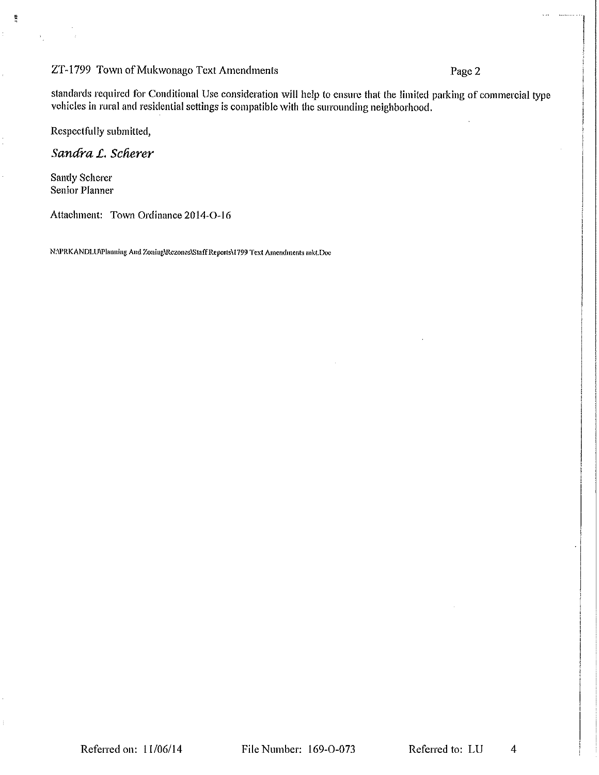## ZT-1799 Town of Mukwonago Text Amendments

# Page 2

standards required for Conditional Use consideration will help to ensure that the limited parking of commercial type vehicles in rural and residential settings is compatible with the surrounding neighborhood.

Respectfully submitted,

Sandra L. Scherer

Sandy Scherer Senior Planner

Ē

Attachment: Town Ordinance 2014-O-16

NAPRKANDLU\Planning And Zoning\Rezones\Staff Reports\1799 Text Amendments mkt.Doc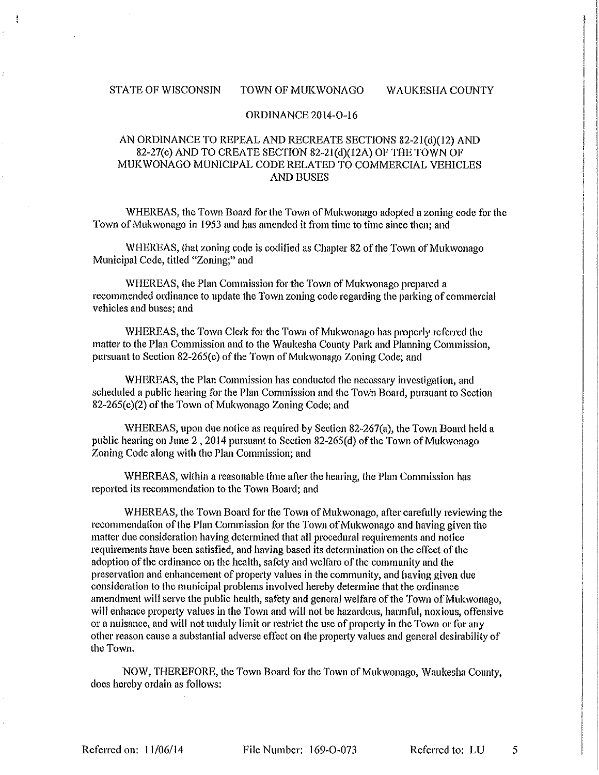#### **STATE OF WISCONSIN** TOWN OF MUKWONAGO **WAUKESHA COUNTY**

#### ORDINANCE 2014-O-16

### AN ORDINANCE TO REPEAL AND RECREATE SECTIONS 82-21(d)(12) AND 82-27(c) AND TO CREATE SECTION 82-21(d)(12A) OF THE TOWN OF MUKWONAGO MUNICIPAL CODE RELATED TO COMMERCIAL VEHICLES **AND BUSES**

WHEREAS, the Town Board for the Town of Mukwonago adopted a zoning code for the Town of Mukwonago in 1953 and has amended it from time to time since then; and

WHEREAS, that zoning code is codified as Chapter 82 of the Town of Mukwonago Municipal Code, titled "Zoning;" and

WHEREAS, the Plan Commission for the Town of Mukwonago prepared a recommended ordinance to update the Town zoning code regarding the parking of commercial vehicles and buses; and

WHEREAS, the Town Clerk for the Town of Mukwonago has properly referred the matter to the Plan Commission and to the Waukesha County Park and Planning Commission, pursuant to Section 82-265(c) of the Town of Mukwonago Zoning Code; and

WHEREAS, the Plan Commission has conducted the necessary investigation, and scheduled a public hearing for the Plan Commission and the Town Board, pursuant to Section 82-265(c)(2) of the Town of Mukwonago Zoning Code; and

WHEREAS, upon due notice as required by Section 82-267(a), the Town Board held a public hearing on June 2, 2014 pursuant to Section 82-265(d) of the Town of Mukwonago Zoning Code along with the Plan Commission; and

WHEREAS, within a reasonable time after the hearing, the Plan Commission has reported its recommendation to the Town Board; and

WHEREAS, the Town Board for the Town of Mukwonago, after carefully reviewing the recommendation of the Plan Commission for the Town of Mukwonago and having given the matter due consideration having determined that all procedural requirements and notice requirements have been satisfied, and having based its determination on the effect of the adoption of the ordinance on the health, safety and welfare of the community and the preservation and enhancement of property values in the community, and having given due consideration to the municipal problems involved hereby determine that the ordinance amendment will serve the public health, safety and general welfare of the Town of Mukwonago, will enhance property values in the Town and will not be hazardous, harmful, noxious, offensive or a nuisance, and will not unduly limit or restrict the use of property in the Town or for any other reason cause a substantial adverse effect on the property values and general desirability of the Town.

NOW, THEREFORE, the Town Board for the Town of Mukwonago, Waukesha County, does hereby ordain as follows:

Referred on: 11/06/14

File Number: 169-O-073

Referred to: LU 5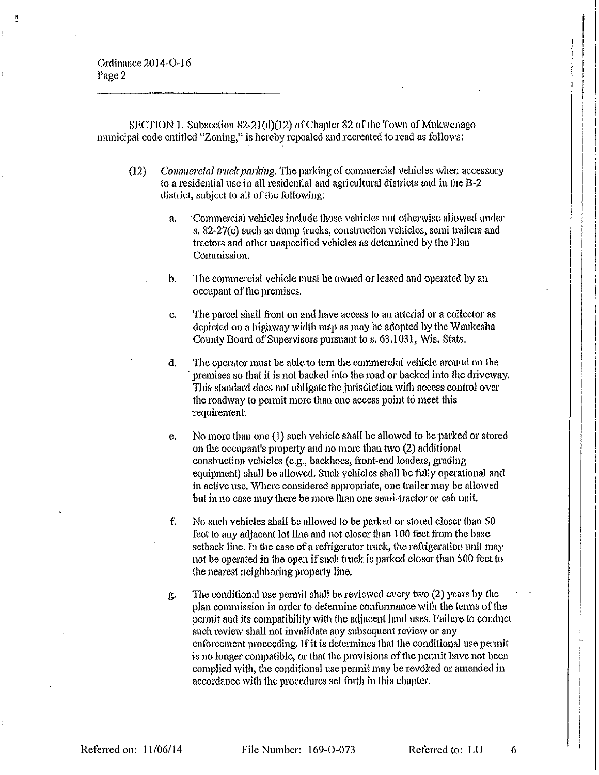SECTION 1. Subsection 82-21(d)(12) of Chapter 82 of the Town of Mukwonago municipal code entitled "Zoning," is hereby repealed and recreated to read as follows:

- Commercial truck parking. The parking of commercial vehicles when accessory  $(12)$ to a residential use in all residential and agricultural districts and in the B-2 district, subject to all of the following:
	- 'Commercial vehicles include those vehicles not otherwise allowed under a. s, 82-27(c) such as dump trucks, construction vehicles, semi trailers and tractors and other unspecified vehicles as determined by the Plan Commission.
	- $<sub>b</sub>$ </sub> The commercial vehicle must be owned or leased and operated by an occupant of the premises.
	- The parcel shall front on and have access to an arterial or a collector as C. depicted on a highway width map as may be adopted by the Waukesha County Board of Supervisors pursuant to s. 63.1031, Wis. Stats.
	- The operator must be able to turn the commercial vehicle around on the đ. premises so that it is not backed into the road or backed into the driveway. This standard does not obligate the jurisdiction with access control over the roadway to permit more than one access point to meet this requirement.
	- No more than one (1) such vehicle shall be allowed to be parked or stored  $\mathbf{e}$ . on the occupant's property and no more than two (2) additional construction vehicles (e.g., backhoes, front-end loaders, grading equipment) shall be allowed. Such yehicles shall be fully operational and in active use. Where considered appropriate, one trailer may be allowed but in no case may there be more than one semi-tractor or cab unit.
	- f. No such vehicles shall be allowed to be parked or stored closer than 50 fect to any adjacent lot line and not closer than 100 feet from the base setback line. In the case of a refrigerator truck, the refrigeration unit may not be operated in the open if such truck is parked closer than 500 feet to the nearest neighboring property line.
	- The conditional use permit shall be reviewed every two (2) years by the g. plan commission in order to determine conformance with the terms of the permit and its compatibility with the adjacent land uses. Failure to conduct such review shall not invalidate any subsequent review or any enforcement proceeding. If it is determines that the conditional use permit is no longer compatible, or that the provisions of the permit have not been complied with, the conditional use permit may be revoked or amended in accordance with the procedures set forth in this chapter.

File Number: 169-O-073

Referred to: LU

6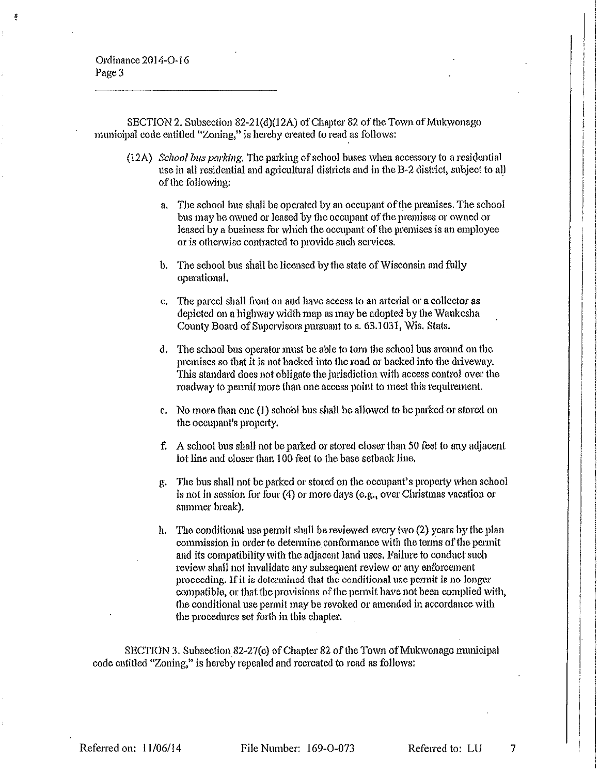SECTION 2. Subsection 82-21(d)(12A) of Chapter 82 of the Town of Mukwonago municipal code entitled "Zoning," is hereby created to read as follows:

- (12A) School bus parking. The parking of school buses when accessory to a residential use in all residential and agricultural districts and in the B-2 district, subject to all of the following:
	- The school bus shall be operated by an occupant of the premises. The school a. bus may be owned or leased by the occupant of the premises or owned or leased by a business for which the occupant of the premises is an employee or is otherwise contracted to provide such services.
	- b. The school bus shall be licensed by the state of Wisconsin and fully operational.
	- c. The parcel shall front on and have access to an arterial or a collector as depicted on a highway width map as may be adopted by the Waukesha County Board of Supervisors pursuant to s. 63.1031, Wis. Stats.
	- The school bus operator must be able to turn the school bus around on the d. premises so that it is not backed into the road or backed into the driveway. This standard does not obligate the jurisdiction with access control over the roadway to permit more than one access point to meet this requirement.
	- e. No more than one (1) school bus shall be allowed to be parked or stored on the occupant's property.
	- f. A school bus shall not be parked or stored closer than 50 feet to any adjacent lot line and closer than 100 feet to the base setback line.
	- The bus shall not be parked or stored on the occupant's property when school g. is not in session for four (4) or more days (e.g., over Christmas vacation or summer break).
	- h. The conditional use permit shall be reviewed every two (2) years by the plan commission in order to determine conformance with the terms of the permit and its compatibility with the adjacent land uses. Failure to conduct such review shall not invalidate any subsequent review or any enforcement proceeding. If it is determined that the conditional use permit is no longer compatible, or that the provisions of the permit have not been complied with, the conditional use permit may be revoked or amended in accordance with the procedures set forth in this chapter.

SECTION 3. Subsection 82-27(c) of Chapter 82 of the Town of Mukwonago municipal code entitled "Zoning," is hereby repealed and recreated to read as follows:

File Number: 169-O-073

7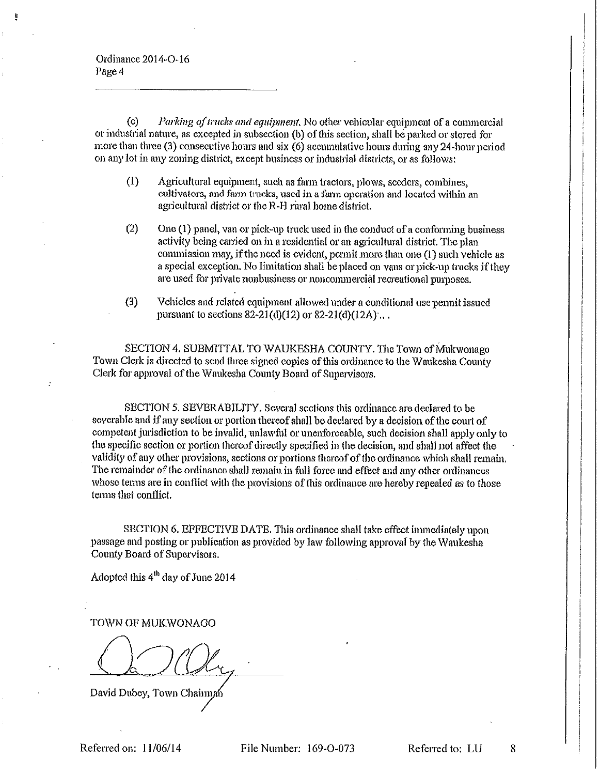$\left( c \right)$ *Parking of trucks and equipment*. No other vehicular equipment of a commercial or industrial nature, as excepted in subsection (b) of this section, shall be parked or stored for more than three (3) consecutive hours and six (6) accumulative hours during any 24-hour period on any lot in any zoning district, except business or industrial districts, or as follows:

- Agricultural equipment, such as farm tractors, plows, seeders, combines,  $(1)$ cultivators, and farm trucks, used in a farm operation and located within an agricultural district or the R-H rural home district.
- $(2)$ One (1) panel, van or pick-up truck used in the conduct of a conforming business activity being carried on in a residential or an agricultural district. The plan commission may, if the need is evident, permit more than one (1) such vehicle as a special exception. No limitation shall be placed on vans or pick-up trucks if they are used for private nonbusiness or noncommercial recreational purposes.
- $(3)$ Vehicles and related equipment allowed under a conditional use permit issued pursuant to sections 82-21(d)(12) or 82-21(d)(12A) ...

SECTION 4. SUBMITTAL TO WAUKESHA COUNTY. The Town of Mukwonago Town Clerk is directed to send three signed copics of this ordinance to the Waukesha County Clerk for approval of the Waukesha County Board of Supervisors.

SECTION 5. SEVERABILITY. Several sections this ordinance are declared to be severable and if any section or portion thereof shall be declared by a decision of the court of competent jurisdiction to be invalid, unlawful or unenforceable, such decision shall apply only to the specific section or portion thereof directly specified in the decision, and shall not affect the validity of any other provisions, sections or portions thereof of the ordinance which shall remain. The remainder of the ordinance shall remain in full force and effect and any other ordinances whose terms are in conflict with the provisions of this ordinance are hereby repealed as to those terms that conflict.

SECTION 6. EFFECTIVE DATE, This ordinance shall take effect immediately upon passage and posting or publication as provided by law following approval by the Waukesha County Board of Supervisors.

Adopted this 4<sup>th</sup> day of June 2014

TOWN OF MUKWONAGO

David Dubey, Town Chairman

Referred on: 11/06/14

File Number: 169-O-073

Referred to: LU

8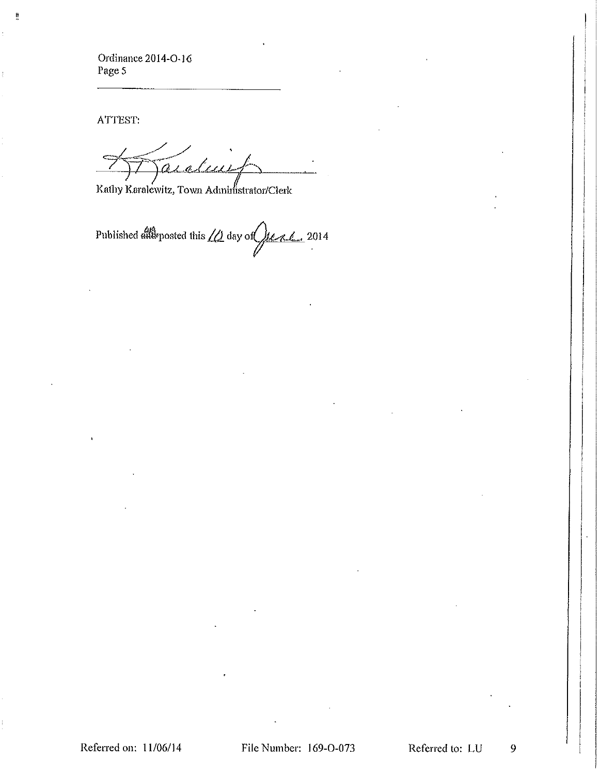ATTEST:

Ë

arclus

Kathy Karalewitz, Town Administrator/Clerk

Published and posted this  $\sqrt{\frac{1}{2}}$  day of  $\sqrt{\frac{1}{2}}$  2014